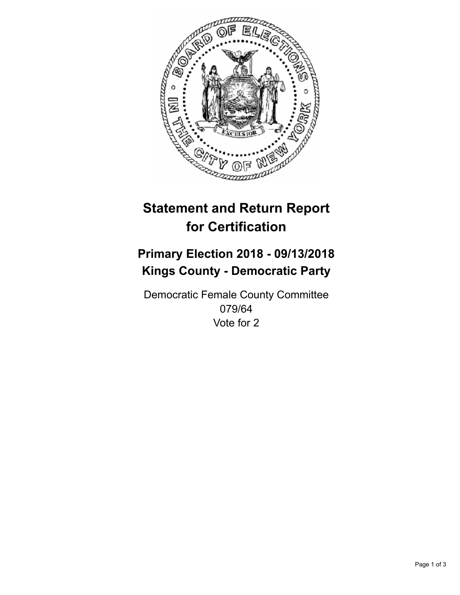

## **Statement and Return Report for Certification**

## **Primary Election 2018 - 09/13/2018 Kings County - Democratic Party**

Democratic Female County Committee 079/64 Vote for 2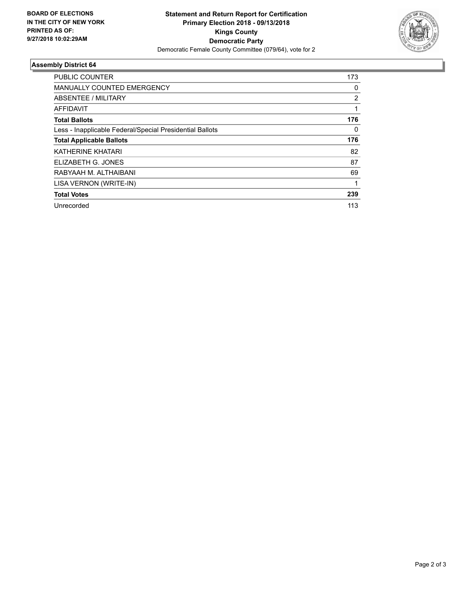

## **Assembly District 64**

| <b>PUBLIC COUNTER</b>                                    | 173 |
|----------------------------------------------------------|-----|
| <b>MANUALLY COUNTED EMERGENCY</b>                        | 0   |
| ABSENTEE / MILITARY                                      | 2   |
| AFFIDAVIT                                                |     |
| <b>Total Ballots</b>                                     | 176 |
| Less - Inapplicable Federal/Special Presidential Ballots | 0   |
| <b>Total Applicable Ballots</b>                          | 176 |
| <b>KATHERINE KHATARI</b>                                 | 82  |
| ELIZABETH G. JONES                                       | 87  |
| RABYAAH M. ALTHAIBANI                                    | 69  |
| LISA VERNON (WRITE-IN)                                   | 1   |
| <b>Total Votes</b>                                       | 239 |
| Unrecorded                                               | 113 |